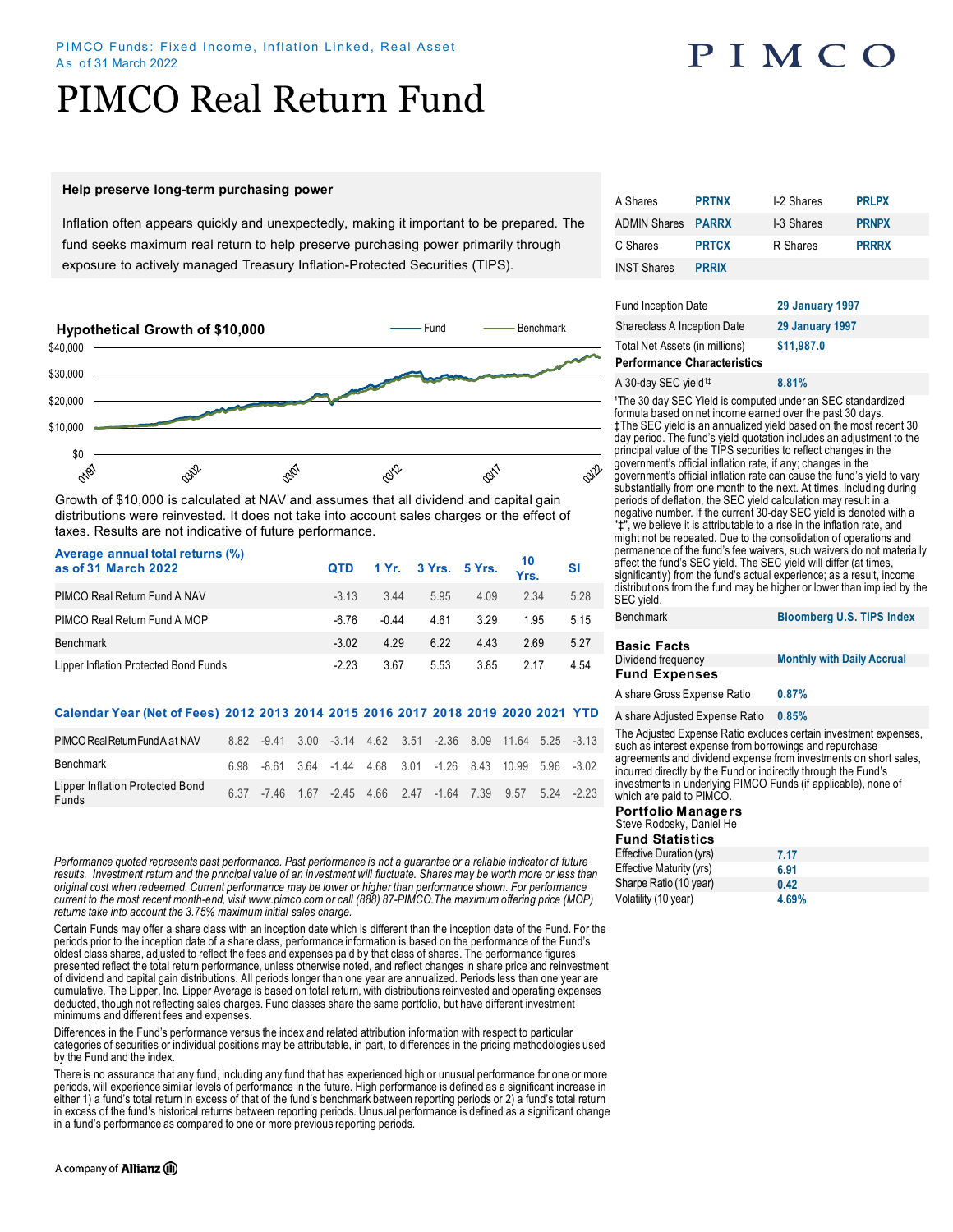# PIMCO Real Return Fund

#### **Help preserve long-term purchasing power**

Inflation often appears quickly and unexpectedly, making it important to be prepared. The fund seeks maximum real return to help preserve purchasing power primarily through exposure to actively managed Treasury Inflation-Protected Securities (TIPS).



Growth of \$10,000 is calculated at NAV and assumes that all dividend and capital gain distributions were reinvested. It does not take into account sales charges or the effect of taxes. Results are not indicative of future performance.

| Average annual total returns (%)<br>as of 31 March 2022 |         |       |      |      | QTD 1 Yr. 3 Yrs. 5 Yrs. $\frac{10}{Yrs}$ . SI |      |
|---------------------------------------------------------|---------|-------|------|------|-----------------------------------------------|------|
| PIMCO Real Return Fund A NAV                            | $-3.13$ | 3.44  | 5.95 | 4.09 | 2 34                                          | 5.28 |
| PIMCO Real Return Fund A MOP                            | $-6,76$ | -0.44 | 4.61 | 3.29 | 195                                           | 5.15 |
| <b>Benchmark</b>                                        | $-3.02$ | 4 2 9 | 622  | 4.43 | 2.69                                          | 5.27 |
| Lipper Inflation Protected Bond Funds                   | $-2.23$ | 3.67  | 5.53 | 3.85 | 2.17                                          | 4.54 |

#### **Calendar Year (Net of Fees) 2012 2013 2014 2015 2016 2017 2018 2019 2020 2021 YTD**

| PIMCO Real Return Fund A at NAV          |  |  |  |  | 8.82 -9.41 3.00 -3.14 4.62 3.51 -2.36 8.09 11.64 5.25 -3.13 |  |
|------------------------------------------|--|--|--|--|-------------------------------------------------------------|--|
| Benchmark                                |  |  |  |  | 6.98 -8.61 3.64 -1.44 4.68 3.01 -1.26 8.43 10.99 5.96 -3.02 |  |
| Lipper Inflation Protected Bond<br>Funds |  |  |  |  | 6.37 -7.46 1.67 -2.45 4.66 2.47 -1.64 7.39 9.57 5.24 -2.23  |  |

*Performance quoted represents past performance. Past performance is not a guarantee or a reliable indicator of future*  results. Investment return and the principal value of an investment will fluctuate. Shares may be worth more or less than *original cost when redeemed. Current performance may be lower or higher than performance shown. For performance current to the most recent month-end, visit www.pimco.com or call (888) 87-PIMCO.The maximum offering price (MOP) returns take into account the 3.75% maximum initial sales charge.*

Certain Funds may offer a share class with an inception date which is different than the inception date of the Fund. For the periods prior to the inception date of a share class, performance information is based on the performance of the Fund's oldest class shares, adjusted to reflect the fees and expenses paid by that class of shares. The performance figures presented reflect the total return performance, unless otherwise noted, and reflect changes in share price and reinvestment of dividend and capital gain distributions. All periods longer than one year are annualized. Periods less than one year are cumulative. The Lipper, Inc. Lipper Average is based on total return, with distributions reinvested and operating expenses deducted, though not reflecting sales charges. Fund classes share the same portfolio, but have different investment minimums and different fees and expenses.

Differences in the Fund's performance versus the index and related attribution information with respect to particular categories of securities or individual positions may be attributable, in part, to differences in the pricing methodologies used by the Fund and the index.

There is no assurance that any fund, including any fund that has experienced high or unusual performance for one or more periods, will experience similar levels of performance in the future. High performance is defined as a significant increase in either 1) a fund's total return in excess of that of the fund's benchmark between reporting periods or 2) a fund's total return in excess of the fund's historical returns between reporting periods. Unusual performance is defined as a significant change in a fund's performance as compared to one or more previous reporting periods.

| A Shares                  | <b>PRTNX</b> | I-2 Shares | <b>PRLPX</b> |
|---------------------------|--------------|------------|--------------|
| <b>ADMIN Shares PARRX</b> |              | I-3 Shares | <b>PRNPX</b> |
| C Shares                  | <b>PRTCX</b> | R Shares   | <b>PRRRX</b> |
| <b>INST Shares</b>        | <b>PRRIX</b> |            |              |
|                           |              |            |              |

| <b>Fund Inception Date</b>                                           | <b>29 January 1997</b> |
|----------------------------------------------------------------------|------------------------|
| Shareclass A Inception Date                                          | <b>29 January 1997</b> |
| Total Net Assets (in millions)<br><b>Performance Characteristics</b> | \$11,987.0             |
| A 30-day SEC yield <sup>1‡</sup>                                     | 8.81%                  |

<sup>1</sup>The 30 day SEC Yield is computed under an SEC standardized formula based on net income earned over the past 30 days. ‡The SEC yield is an annualized yield based on the most recent 30 day period. The fund's yield quotation includes an adjustment to the principal value of the TIPS securities to reflect changes in the government's official inflation rate, if any; changes in the government's official inflation rate can cause the fund's yield to vary substantially from one month to the next. At times, including during periods of deflation, the SEC yield calculation may result in a negative number. If the current 30-day SEC yield is denoted with a "‡", we believe it is attributable to a rise in the inflation rate, and might not be repeated. Due to the consolidation of operations and permanence of the fund's fee waivers, such waivers do not materially affect the fund's SEC yield. The SEC yield will differ (at times, significantly) from the fund's actual experience; as a result, income distributions from the fund may be higher or lower than implied by the SEC yield.

| Benchmark                   | <b>Bloomberg U.S. TIPS Index</b>  |
|-----------------------------|-----------------------------------|
| Basic Facts                 |                                   |
| Dividend frequency          | <b>Monthly with Daily Accrual</b> |
| <b>Fund Expenses</b>        |                                   |
| A share Gross Expense Ratio | 0.87%                             |

A share Adjusted Expense Ratio **0.85%**

The Adjusted Expense Ratio excludes certain investment expenses, such as interest expense from borrowings and repurchase agreements and dividend expense from investments on short sales, incurred directly by the Fund or indirectly through the Fund's investments in underlying PIMCO Funds (if applicable), none of which are paid to PIMCO.

#### **Portfolio Managers** Steve Rodosky, Daniel He

**Fund Statistics**

| i unu olalistics         |       |
|--------------------------|-------|
| Effective Duration (yrs) | 7.17  |
| Effective Maturity (yrs) | 6.91  |
| Sharpe Ratio (10 year)   | 0.42  |
| Volatility (10 year)     | 4.69% |

### PIMCO